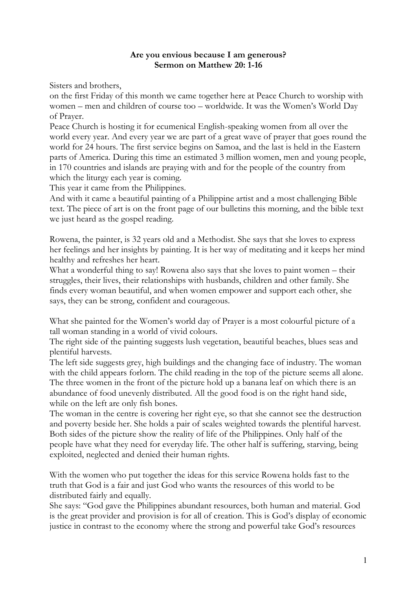## **Are you envious because I am generous? Sermon on Matthew 20: 1-16**

Sisters and brothers,

on the first Friday of this month we came together here at Peace Church to worship with women – men and children of course too – worldwide. It was the Women's World Day of Prayer.

Peace Church is hosting it for ecumenical English-speaking women from all over the world every year. And every year we are part of a great wave of prayer that goes round the world for 24 hours. The first service begins on Samoa, and the last is held in the Eastern parts of America. During this time an estimated 3 million women, men and young people, in 170 countries and islands are praying with and for the people of the country from which the liturgy each year is coming.

This year it came from the Philippines.

And with it came a beautiful painting of a Philippine artist and a most challenging Bible text. The piece of art is on the front page of our bulletins this morning, and the bible text we just heard as the gospel reading.

Rowena, the painter, is 32 years old and a Methodist. She says that she loves to express her feelings and her insights by painting. It is her way of meditating and it keeps her mind healthy and refreshes her heart.

What a wonderful thing to say! Rowena also says that she loves to paint women – their struggles, their lives, their relationships with husbands, children and other family. She finds every woman beautiful, and when women empower and support each other, she says, they can be strong, confident and courageous.

What she painted for the Women's world day of Prayer is a most colourful picture of a tall woman standing in a world of vivid colours.

The right side of the painting suggests lush vegetation, beautiful beaches, blues seas and plentiful harvests.

The left side suggests grey, high buildings and the changing face of industry. The woman with the child appears forlorn. The child reading in the top of the picture seems all alone. The three women in the front of the picture hold up a banana leaf on which there is an abundance of food unevenly distributed. All the good food is on the right hand side, while on the left are only fish bones.

The woman in the centre is covering her right eye, so that she cannot see the destruction and poverty beside her. She holds a pair of scales weighted towards the plentiful harvest. Both sides of the picture show the reality of life of the Philippines. Only half of the people have what they need for everyday life. The other half is suffering, starving, being exploited, neglected and denied their human rights.

With the women who put together the ideas for this service Rowena holds fast to the truth that God is a fair and just God who wants the resources of this world to be distributed fairly and equally.

She says: "God gave the Philippines abundant resources, both human and material. God is the great provider and provision is for all of creation. This is God's display of economic justice in contrast to the economy where the strong and powerful take God's resources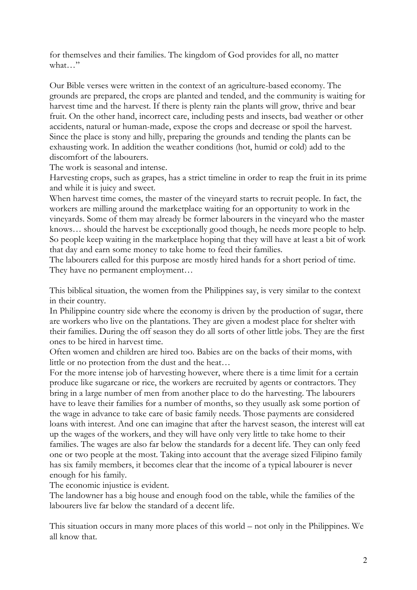for themselves and their families. The kingdom of God provides for all, no matter what…"

Our Bible verses were written in the context of an agriculture-based economy. The grounds are prepared, the crops are planted and tended, and the community is waiting for harvest time and the harvest. If there is plenty rain the plants will grow, thrive and bear fruit. On the other hand, incorrect care, including pests and insects, bad weather or other accidents, natural or human-made, expose the crops and decrease or spoil the harvest. Since the place is stony and hilly, preparing the grounds and tending the plants can be exhausting work. In addition the weather conditions (hot, humid or cold) add to the discomfort of the labourers.

The work is seasonal and intense.

Harvesting crops, such as grapes, has a strict timeline in order to reap the fruit in its prime and while it is juicy and sweet.

When harvest time comes, the master of the vineyard starts to recruit people. In fact, the workers are milling around the marketplace waiting for an opportunity to work in the vineyards. Some of them may already be former labourers in the vineyard who the master knows… should the harvest be exceptionally good though, he needs more people to help. So people keep waiting in the marketplace hoping that they will have at least a bit of work that day and earn some money to take home to feed their families.

The labourers called for this purpose are mostly hired hands for a short period of time. They have no permanent employment…

This biblical situation, the women from the Philippines say, is very similar to the context in their country.

In Philippine country side where the economy is driven by the production of sugar, there are workers who live on the plantations. They are given a modest place for shelter with their families. During the off season they do all sorts of other little jobs. They are the first ones to be hired in harvest time.

Often women and children are hired too. Babies are on the backs of their moms, with little or no protection from the dust and the heat…

For the more intense job of harvesting however, where there is a time limit for a certain produce like sugarcane or rice, the workers are recruited by agents or contractors. They bring in a large number of men from another place to do the harvesting. The labourers have to leave their families for a number of months, so they usually ask some portion of the wage in advance to take care of basic family needs. Those payments are considered loans with interest. And one can imagine that after the harvest season, the interest will eat up the wages of the workers, and they will have only very little to take home to their families. The wages are also far below the standards for a decent life. They can only feed one or two people at the most. Taking into account that the average sized Filipino family has six family members, it becomes clear that the income of a typical labourer is never enough for his family.

The economic injustice is evident.

The landowner has a big house and enough food on the table, while the families of the labourers live far below the standard of a decent life.

This situation occurs in many more places of this world – not only in the Philippines. We all know that.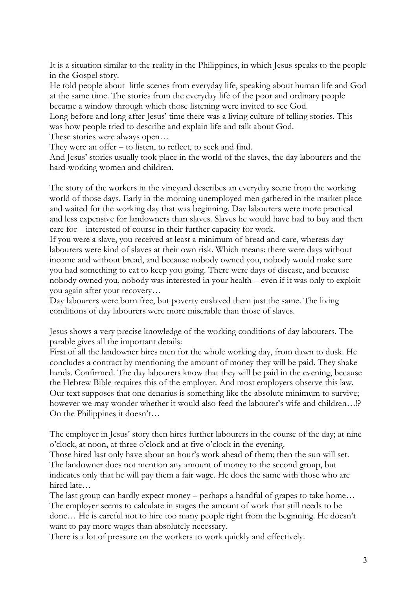It is a situation similar to the reality in the Philippines, in which Jesus speaks to the people in the Gospel story.

He told people about little scenes from everyday life, speaking about human life and God at the same time. The stories from the everyday life of the poor and ordinary people became a window through which those listening were invited to see God.

Long before and long after Jesus' time there was a living culture of telling stories. This was how people tried to describe and explain life and talk about God.

These stories were always open…

They were an offer – to listen, to reflect, to seek and find.

And Jesus' stories usually took place in the world of the slaves, the day labourers and the hard-working women and children.

The story of the workers in the vineyard describes an everyday scene from the working world of those days. Early in the morning unemployed men gathered in the market place and waited for the working day that was beginning. Day labourers were more practical and less expensive for landowners than slaves. Slaves he would have had to buy and then care for – interested of course in their further capacity for work.

If you were a slave, you received at least a minimum of bread and care, whereas day labourers were kind of slaves at their own risk. Which means: there were days without income and without bread, and because nobody owned you, nobody would make sure you had something to eat to keep you going. There were days of disease, and because nobody owned you, nobody was interested in your health – even if it was only to exploit you again after your recovery…

Day labourers were born free, but poverty enslaved them just the same. The living conditions of day labourers were more miserable than those of slaves.

Jesus shows a very precise knowledge of the working conditions of day labourers. The parable gives all the important details:

First of all the landowner hires men for the whole working day, from dawn to dusk. He concludes a contract by mentioning the amount of money they will be paid. They shake hands. Confirmed. The day labourers know that they will be paid in the evening, because the Hebrew Bible requires this of the employer. And most employers observe this law. Our text supposes that one denarius is something like the absolute minimum to survive; however we may wonder whether it would also feed the labourer's wife and children…!? On the Philippines it doesn't…

The employer in Jesus' story then hires further labourers in the course of the day; at nine o'clock, at noon, at three o'clock and at five o'clock in the evening.

Those hired last only have about an hour's work ahead of them; then the sun will set. The landowner does not mention any amount of money to the second group, but indicates only that he will pay them a fair wage. He does the same with those who are hired late…

The last group can hardly expect money – perhaps a handful of grapes to take home… The employer seems to calculate in stages the amount of work that still needs to be done… He is careful not to hire too many people right from the beginning. He doesn't want to pay more wages than absolutely necessary.

There is a lot of pressure on the workers to work quickly and effectively.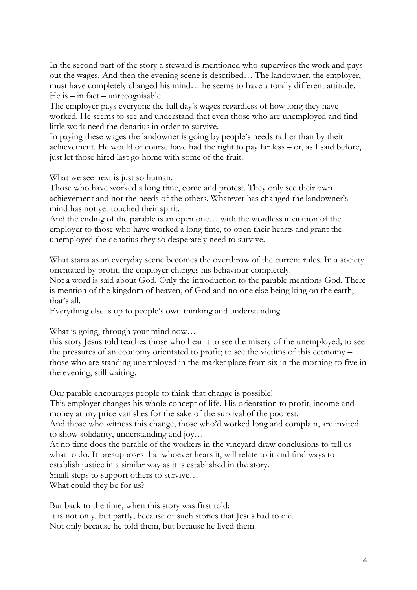In the second part of the story a steward is mentioned who supervises the work and pays out the wages. And then the evening scene is described… The landowner, the employer, must have completely changed his mind… he seems to have a totally different attitude. He is – in fact – unrecognisable.

The employer pays everyone the full day's wages regardless of how long they have worked. He seems to see and understand that even those who are unemployed and find little work need the denarius in order to survive.

In paying these wages the landowner is going by people's needs rather than by their achievement. He would of course have had the right to pay far less – or, as I said before, just let those hired last go home with some of the fruit.

What we see next is just so human.

Those who have worked a long time, come and protest. They only see their own achievement and not the needs of the others. Whatever has changed the landowner's mind has not yet touched their spirit.

And the ending of the parable is an open one… with the wordless invitation of the employer to those who have worked a long time, to open their hearts and grant the unemployed the denarius they so desperately need to survive.

What starts as an everyday scene becomes the overthrow of the current rules. In a society orientated by profit, the employer changes his behaviour completely.

Not a word is said about God. Only the introduction to the parable mentions God. There is mention of the kingdom of heaven, of God and no one else being king on the earth, that's all.

Everything else is up to people's own thinking and understanding.

What is going, through your mind now...

this story Jesus told teaches those who hear it to see the misery of the unemployed; to see the pressures of an economy orientated to profit; to see the victims of this economy – those who are standing unemployed in the market place from six in the morning to five in the evening, still waiting.

Our parable encourages people to think that change is possible!

This employer changes his whole concept of life. His orientation to profit, income and money at any price vanishes for the sake of the survival of the poorest.

And those who witness this change, those who'd worked long and complain, are invited to show solidarity, understanding and joy…

At no time does the parable of the workers in the vineyard draw conclusions to tell us what to do. It presupposes that whoever hears it, will relate to it and find ways to establish justice in a similar way as it is established in the story.

Small steps to support others to survive…

What could they be for us?

But back to the time, when this story was first told:

It is not only, but partly, because of such stories that Jesus had to die. Not only because he told them, but because he lived them.